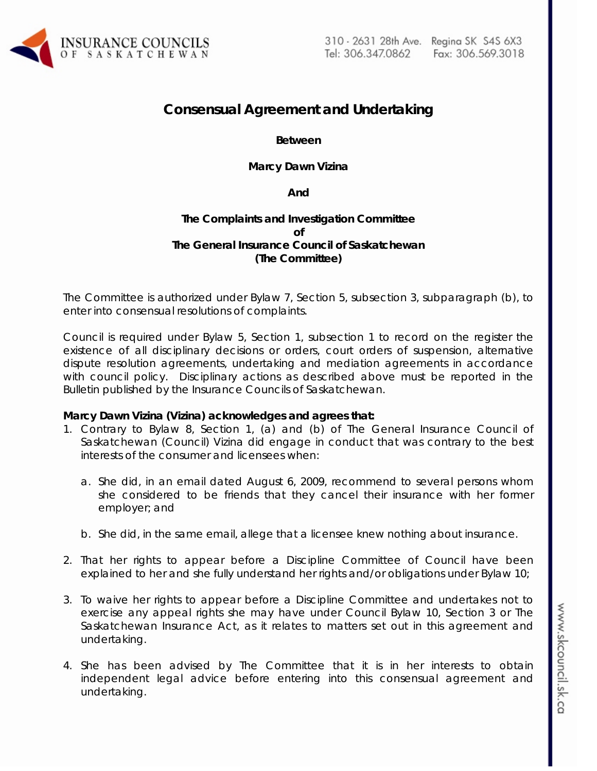

# **Consensual Agreement and Undertaking**

**Between** 

**Marcy Dawn Vizina** 

**And** 

## **The Complaints and Investigation Committee of The General Insurance Council of Saskatchewan (The Committee)**

The Committee is authorized under Bylaw 7, Section 5, subsection 3, subparagraph (b), to enter into consensual resolutions of complaints.

Council is required under Bylaw 5, Section 1, subsection 1 to record on the register the existence of all disciplinary decisions or orders, court orders of suspension, alternative dispute resolution agreements, undertaking and mediation agreements in accordance with council policy. Disciplinary actions as described above must be reported in the Bulletin published by the Insurance Councils of Saskatchewan.

## **Marcy Dawn Vizina (Vizina) acknowledges and agrees that:**

- 1. Contrary to Bylaw 8, Section 1, (a) and (b) of The General Insurance Council of Saskatchewan (Council) Vizina did engage in conduct that was contrary to the best interests of the consumer and licensees when:
	- a. She did, in an email dated August 6, 2009, recommend to several persons whom she considered to be friends that they cancel their insurance with her former employer; and
	- b. She did, in the same email, allege that a licensee knew nothing about insurance.
- 2. That her rights to appear before a Discipline Committee of Council have been explained to her and she fully understand her rights and/or obligations under Bylaw 10;
- 3. To waive her rights to appear before a Discipline Committee and undertakes not to exercise any appeal rights she may have under Council Bylaw 10, Section 3 or *The Saskatchewan Insurance Act,* as it relates to matters set out in this agreement and undertaking.
- 4. She has been advised by The Committee that it is in her interests to obtain independent legal advice before entering into this consensual agreement and undertaking.